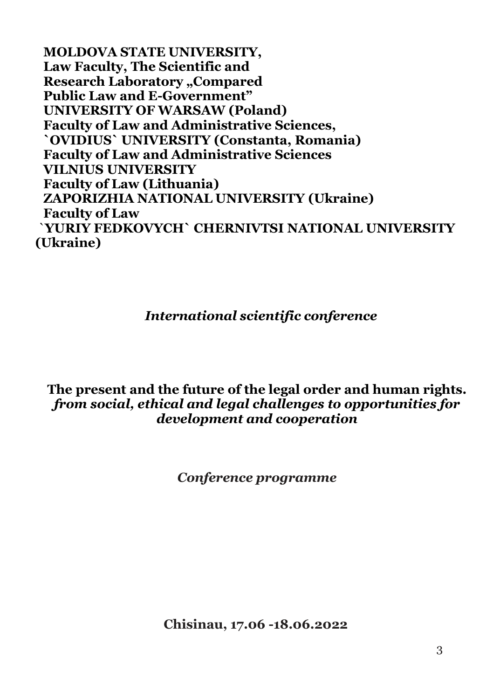**MOLDOVA STATE UNIVERSITY, Law Faculty, The Scientific and Research Laboratory "Compared Public Law and E-Government" UNIVERSITY OF WARSAW (Poland) Faculty of Law and Administrative Sciences, `OVIDIUS` UNIVERSITY (Constanta, Romania) Faculty of Law and Administrative Sciences VILNIUS UNIVERSITY Faculty of Law (Lithuania) ZAPORIZHIA NATIONAL UNIVERSITY (Ukraine) Faculty of Law** `**YURIY FEDKOVYCH` CHERNIVTSI NATIONAL UNIVERSITY (Ukraine)**

## *International scientific conference*

### **The present and the future of the legal order and human rights.** *from social, ethical and legal challenges to opportunities for development and cooperation*

*Conference programme*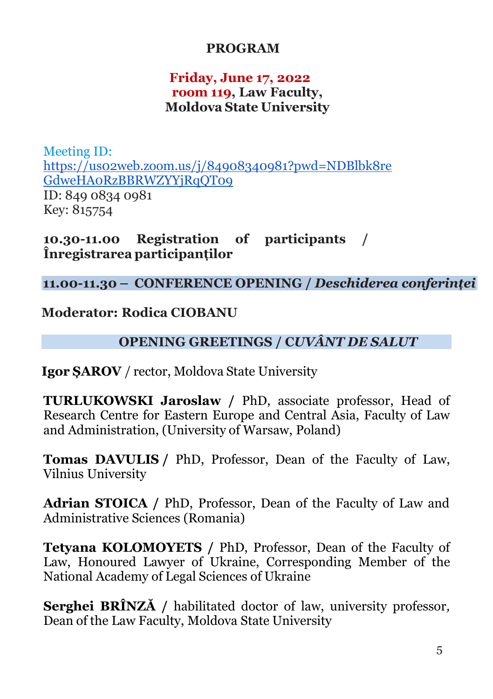## **PROGRAM**

### **Friday, June 17, 2022 room 119, Law Faculty, Moldova State University**

Meeting ID: [https://us02web.zoom.us/j/84908340981?pwd=NDBlbk8re](https://us02web.zoom.us/j/84908340981?pwd=NDBlbk8reGdweHA0RzBBRWZYYjRqQT09) [GdweHA0RzBBRWZYYjRqQT09](https://us02web.zoom.us/j/84908340981?pwd=NDBlbk8reGdweHA0RzBBRWZYYjRqQT09) ID: 849 0834 0981 Key: 815754

**10.30-11.00 Registration of participants / Înregistrarea participanților**

### **11.00-11.30 – CONFERENCE OPENING /** *Deschiderea conferinței*

## **Moderator: Rodica CIOBANU**

### **OPENING GREETINGS / C***UVÂNT DE SALUT*

**Igor ȘAROV** / rector, Moldova State University

**TURLUKOWSKI Jaroslaw /** PhD, associate professor, Head of Research Centre for Eastern Europe and Central Asia, Faculty of Law and Administration, (University of Warsaw, Poland)

**Tomas DAVULIS /** PhD, Professor, Dean of the Faculty of Law, Vilnius University

**Adrian STOICA /** PhD, Professor, Dean of the Faculty of Law and Administrative Sciences (Romania)

**Tetyana KOLOMOYETS /** PhD, Professor, Dean of the Faculty of Law, Honoured Lawyer of Ukraine, Corresponding Member of the National Academy of Legal Sciences of Ukraine

**Serghei BRÎNZĂ /** habilitated doctor of law, university professor*,* Dean of the Law Faculty, Moldova State University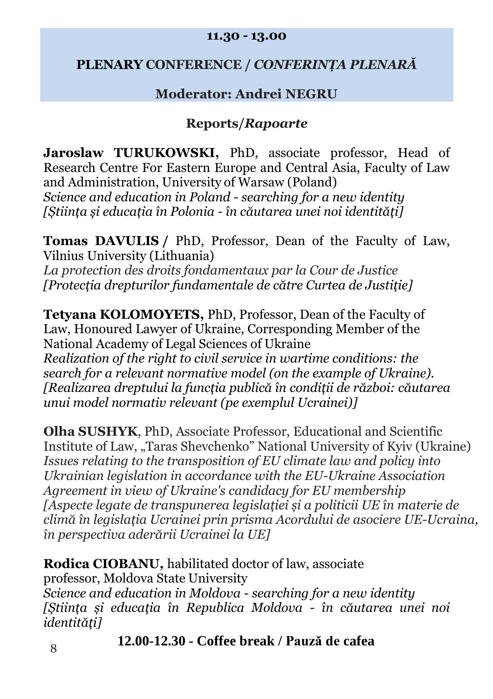#### **11.30 - 13.00**

## **PLENARY CONFERENCE /** *CONFERINȚA PLENARĂ*

# **Moderator: Andrei NEGRU**

## **Reports/***Rapoarte*

**Jaroslaw TURUKOWSKI,** PhD, associate professor, Head of Research Centre For Eastern Europe and Central Asia, Faculty of Law and Administration, University of Warsaw (Poland) *Science and education in Poland - searching for a new identity [Știința și educația în Polonia - în căutarea unei noi identități]*

**Tomas DAVULIS /** PhD, Professor, Dean of the Faculty of Law, Vilnius University (Lithuania) *La protection des droits fondamentaux par la Cour de Justice [Protecția drepturilor fundamentale de către Curtea de Justiție]*

**Tetyana KOLOMOYETS,** PhD, Professor, Dean of the Faculty of Law, Honoured Lawyer of Ukraine, Corresponding Member of the National Academy of Legal Sciences of Ukraine *Realization of the right to civil service in wartime conditions: the search for a relevant normative model (on the example of Ukraine). [Realizarea dreptului la funcția publică în condiții de război: căutarea unui model normativ relevant (pe exemplul Ucrainei)]*

**Olha SUSHYK**, PhD, Associate Professor, Educational and Scientific Institute of Law, "Taras Shevchenko" National University of Kyiv (Ukraine) *Issues relating to the transposition of EU climate law and policy into Ukrainian legislation in accordance with the EU-Ukraine Association Agreement in view of Ukraine's candidacy for EU membership [Aspecte legate de transpunerea legislației și a politicii UE în materie de climă în legislația Ucrainei prin prisma Acordului de asociere UE-Ucraina, în perspectiva aderării Ucrainei la UE]*

**Rodica CIOBANU***,* habilitated doctor of law, associate professor, Moldova State University *Science and education in Moldova - searching for a new identity [Știința și educația în Republica Moldova - în căutarea unei noi identități]*

**12.00-12.30 - Coffee break / Pauză de cafea** <sup>8</sup>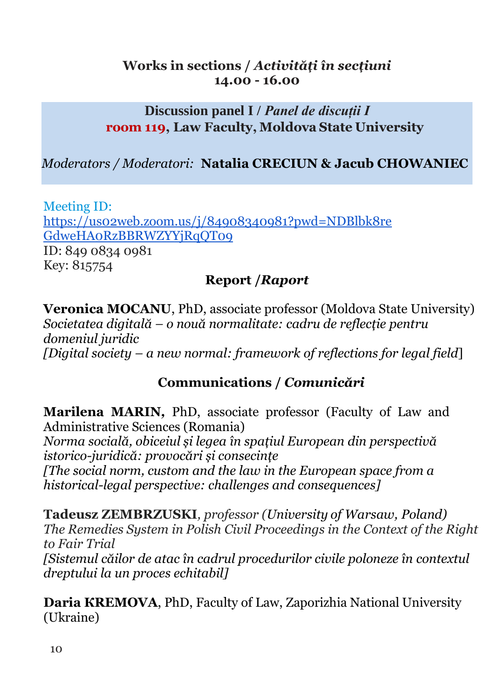## **Works in sections /** *Activități în secțiuni* **14.00 - 16.00**

## **Discussion panel I /** *Panel de discuții I* **room 119, Law Faculty, Moldova State University**

# *Moderators / Moderatori:* **Natalia CRECIUN & Jacub CHOWANIEC**

Meeting ID: [https://us02web.zoom.us/j/84908340981?pwd=NDBlbk8re](https://us02web.zoom.us/j/84908340981?pwd=NDBlbk8reGdweHA0RzBBRWZYYjRqQT09) [GdweHA0RzBBRWZYYjRqQT09](https://us02web.zoom.us/j/84908340981?pwd=NDBlbk8reGdweHA0RzBBRWZYYjRqQT09) ID: 849 0834 0981 Key: 815754

## **Report /***Raport*

**Veronica MOCANU**, PhD, associate professor (Moldova State University) *Societatea digitală – o nouă normalitate: cadru de reflecție pentru domeniul juridic [Digital society – a new normal: framework of reflections for legal field*]

# **Communications /** *Comunicări*

**Marilena MARIN***,* PhD, associate professor (Faculty of Law and Administrative Sciences (Romania)

*Norma socială, obiceiul și legea în spațiul European din perspectivă istorico-juridică: provocări și consecințe*

*[The social norm, custom and the law in the European space from a historical-legal perspective: challenges and consequences]*

**Tadeusz ZEMBRZUSKI***, professor (University of Warsaw, Poland) The Remedies System in Polish Civil Proceedings in the Context of the Right to Fair Trial [Sistemul căilor de atac în cadrul procedurilor civile poloneze în contextul dreptului la un proces echitabil]*

**Daria КREMOVA**, PhD, Faculty of Law, Zaporizhia National University (Ukraine)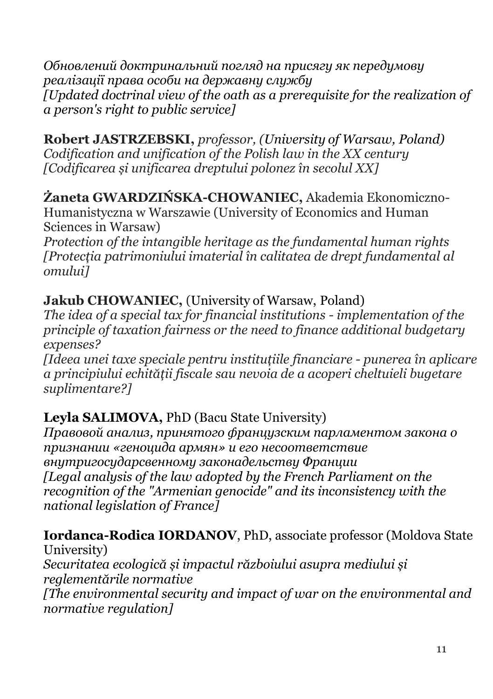*Обновлений доктринальний погляд на присягу як передумову реалізації права особи на державну службу [Updated doctrinal view of the oath as a prerequisite for the realization of a person's right to public service]*

**Robert JASTRZEBSKI,** *professor, (University of Warsaw, Poland) Codification and unification of the Polish law in the XX century [Codificarea și unificarea dreptului polonez în secolul XX]*

**Żaneta GWARDZIŃSKA-CHOWANIEC,** Akademia Ekonomiczno-Humanistyczna w Warszawie (University of Economics and Human Sciences in Warsaw)

*Protection of the intangible heritage as the fundamental human rights [Protecția patrimoniului imaterial în calitatea de drept fundamental al omului]*

# **Jakub CHOWANIEC,** (University of Warsaw, Poland)

*The idea of a special tax for financial institutions - implementation of the principle of taxation fairness or the need to finance additional budgetary expenses?*

*[Ideea unei taxe speciale pentru instituțiile financiare - punerea în aplicare a principiului echității fiscale sau nevoia de a acoperi cheltuieli bugetare suplimentare?]*

# **Leyla SALIMOVA,** PhD (Bacu State University)

*Правовой анализ, принятого французским парламентом закона о признании «геноцида армян» и его несоответствие внутригосударсвенному законадельству Франции [Legal analysis of the law adopted by the French Parliament on the recognition of the "Armenian genocide" and its inconsistency with the national legislation of France]*

# **Iordanca-Rodica IORDANOV**, PhD, associate professor (Moldova State

University) *Securitatea ecologică și impactul războiului asupra mediului și reglementările normative [The environmental security and impact of war on the environmental and normative regulation]*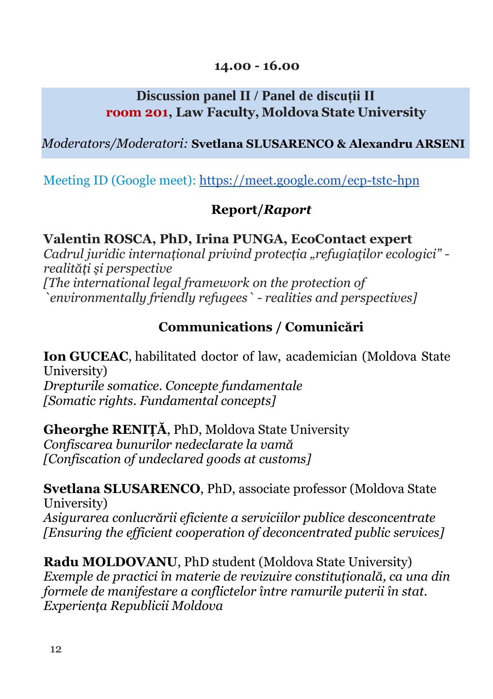### **14.00 - 16.00**

# **Discussion panel II / Panel de discuții II room 201, Law Faculty, Moldova State University**

## *Moderators/Moderatori:* **Svetlana SLUSARENCO & Alexandru ARSENI**

Meeting ID (Google meet): <https://meet.google.com/ecp-tstc-hpn>

## **Report/***Raport*

## **Valentin ROSCA, PhD, Irina PUNGA, EcoContact expert**

*Cadrul juridic internațional privind protecția "refugiaților ecologici" realități și perspective [The international legal framework on the protection of `environmentally friendly refugees` - realities and perspectives]*

# **Communications / Comunicări**

**Ion GUCEAC**, habilitated doctor of law, academician (Moldova State University) *Drepturile somatice. Concepte fundamentale [Somatic rights. Fundamental concepts]*

**Gheorghe RENIȚĂ**, PhD, Moldova State University *Confiscarea bunurilor nedeclarate la vamă [Confiscation of undeclared goods at customs]*

**Svetlana SLUSARENCO**, PhD, associate professor (Moldova State University) *Asigurarea conlucrării eficiente a serviciilor publice desconcentrate [Ensuring the efficient cooperation of deconcentrated public services]*

**Radu MOLDOVANU**, PhD student (Moldova State University) *Exemple de practici în materie de revizuire constituțională, ca una din formele de manifestare a conflictelor între ramurile puterii în stat. Experiența Republicii Moldova*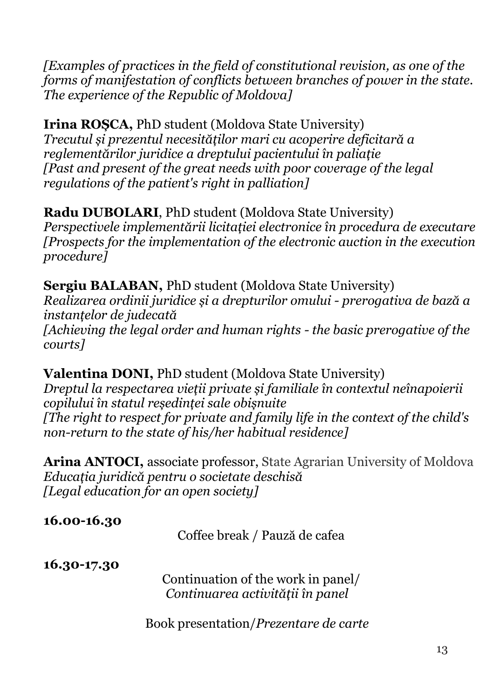*[Examples of practices in the field of constitutional revision, as one of the forms of manifestation of conflicts between branches of power in the state. The experience of the Republic of Moldova]*

**Irina ROȘCA,** PhD student (Moldova State University) *Trecutul și prezentul necesităților mari cu acoperire deficitară a reglementărilor juridice a dreptului pacientului în paliație [Past and present of the great needs with poor coverage of the legal regulations of the patient's right in palliation]*

**Radu DUBOLARI**, PhD student (Moldova State University) *Perspectivele implementării licitației electronice în procedura de executare [Prospects for the implementation of the electronic auction in the execution procedure]*

**Sergiu BALABAN,** PhD student (Moldova State University) *Realizarea ordinii juridice și a drepturilor omului - prerogativa de bază a instanțelor de judecată [Achieving the legal order and human rights - the basic prerogative of the courts]*

**Valentina DONI,** PhD student (Moldova State University) *Dreptul la respectarea vieții private și familiale în contextul neînapoierii copilului în statul reședinței sale obișnuite [The right to respect for private and family life in the context of the child's non-return to the state of his/her habitual residence]*

**Arina ANTOCI,** associate professor, State Agrarian University of Moldova *Educația juridică pentru o societate deschisă [Legal education for an open society]*

**16.00-16.30** Coffee break / Pauză de cafea **16.30-17.30** Continuation of the work in panel/ *Continuarea activității în panel*

Book presentation/*Prezentare de carte*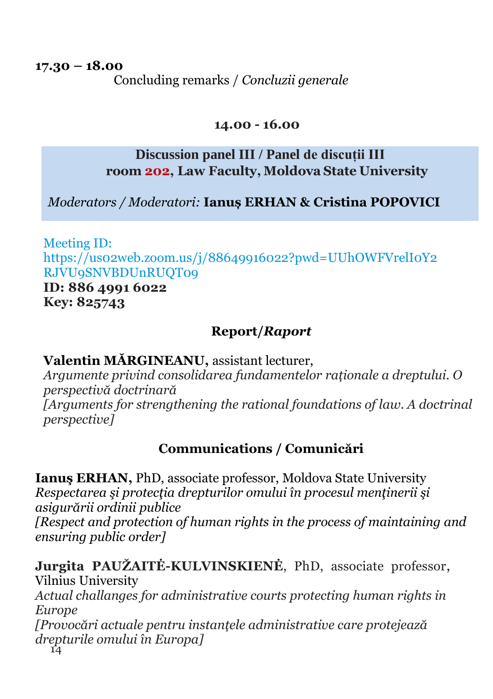**17.30 – 18.00** Concluding remarks / *Concluzii generale* 

### **14.00 - 16.00**

# **Discussion panel III / Panel de discuții III room 202, Law Faculty, Moldova State University**

 *Moderators / Moderatori:* **Ianuș ERHAN & Cristina POPOVICI**

Meeting ID: https://us02web.zoom.us/j/88649916022?pwd=UUhOWFVrelI0Y2 RJVU9SNVBDUnRUQT09

**ID: 886 4991 6022 Key: 825743**

# **Report/***Raport*

**Valentin MĂRGINEANU,** assistant lecturer,

*Argumente privind consolidarea fundamentelor raționale a dreptului. O perspectivă doctrinară [Arguments for strengthening the rational foundations of law. A doctrinal perspective]*

# **Communications / Comunicări**

**Ianuş ERHAN,** PhD, associate professor, Moldova State University *Respectarea şi protecţia drepturilor omului în procesul menţinerii şi asigurării ordinii publice*

*[Respect and protection of human rights in the process of maintaining and ensuring public order]*

14 **Jurgita PAUŽAITĖ-KULVINSKIENĖ**, PhD, associate professor, Vilnius University *Actual challanges for administrative courts protecting human rights in Europe [Provocări actuale pentru instanțele administrative care protejează drepturile omului în Europa]*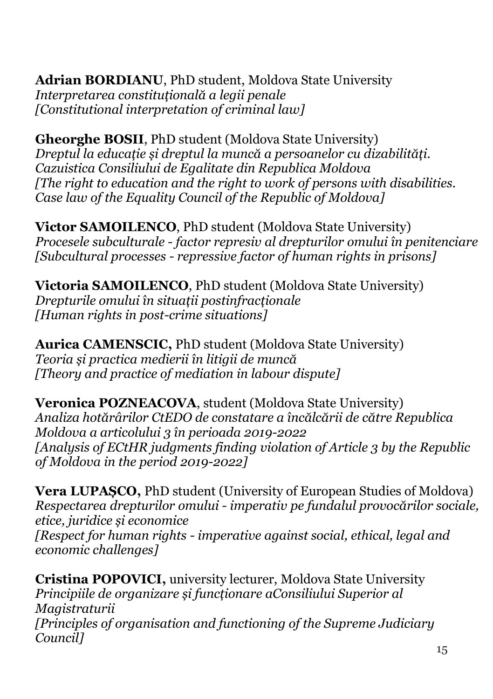**Adrian BORDIANU**, PhD student, Moldova State University *Interpretarea constituțională a legii penale [Constitutional interpretation of criminal law]*

**Gheorghe BOSII**, PhD student (Moldova State University) *Dreptul la educație și dreptul la muncă a persoanelor cu dizabilități. Cazuistica Consiliului de Egalitate din Republica Moldova [The right to education and the right to work of persons with disabilities. Case law of the Equality Council of the Republic of Moldova]*

**Victor SAMOILENCO**, PhD student (Moldova State University) *Procesele subculturale - factor represiv al drepturilor omului în penitenciare [Subcultural processes - repressive factor of human rights in prisons]*

**Victoria SAMOILENCO**, PhD student (Moldova State University) *Drepturile omului în situații postinfracționale [Human rights in post-crime situations]*

**Aurica CAMENSCIC,** PhD student (Moldova State University) *Teoria și practica medierii în litigii de muncă [Theory and practice of mediation in labour dispute]*

**Veronica POZNEACOVA**, student (Moldova State University) *Analiza hotărârilor CtEDO de constatare a încălcării de către Republica Moldova a articolului 3 în perioada 2019-2022 [Analysis of ECtHR judgments finding violation of Article 3 by the Republic of Moldova in the period 2019-2022]*

**Vera LUPAȘCO,** PhD student (University of European Studies of Moldova) *Respectarea drepturilor omului - imperativ pe fundalul provocărilor sociale, etice, juridice și economice*

*[Respect for human rights - imperative against social, ethical, legal and economic challenges]*

**Cristina POPOVICI,** university lecturer, Moldova State University *Principiile de organizare și funcționare aConsiliului Superior al Magistraturii [Principles of organisation and functioning of the Supreme Judiciary Council]*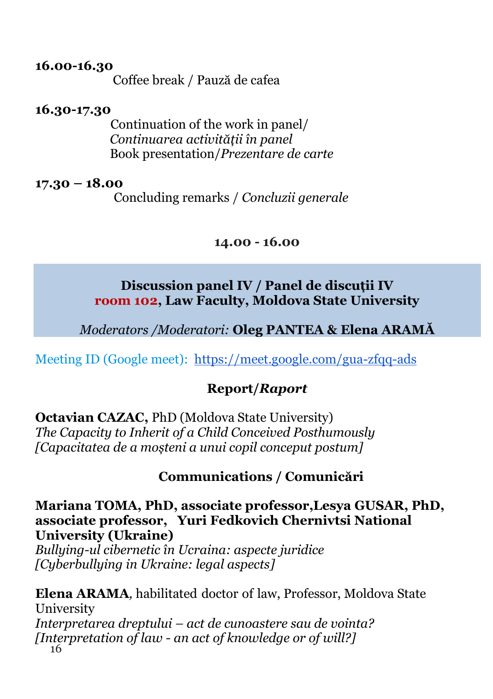#### **16.00-16.30**

Coffee break / Pauză de cafea

### **16.30-17.30**

Continuation of the work in panel/ *Continuarea activității în panel* Book presentation/*Prezentare de carte*

### **17.30 – 18.00**

Concluding remarks / *Concluzii generale*

#### **14.00 - 16.00**

### **Discussion panel IV / Panel de discuții IV room 102, Law Faculty, Moldova State University**

*Moderators /Moderatori:* **Oleg PANTEA & Elena ARAMĂ**

Meeting ID (Google meet): <https://meet.google.com/gua-zfqq-ads>

## **Report/***Raport*

**Octavian CAZAC,** PhD (Moldova State University) *The Capacity to Inherit of a Child Conceived Posthumously [Capacitatea de a moșteni a unui copil conceput postum]*

### **Communications / Comunicări**

**Мariana TOMA, PhD, associate professor,Lesya GUSAR, PhD, associate professor, Yuri Fedkovich Chernivtsi National University (Ukraine)**

*Bullying-ul cibernetic în Ucraina: aspecte juridice [Cyberbullying in Ukraine: legal aspects]*

16 **Elena ARAMA***,* habilitated doctor of law, Professor, Moldova State University *Interpretarea dreptului – act de cunoastere sau de vointa? [Interpretation of law - an act of knowledge or of will?]*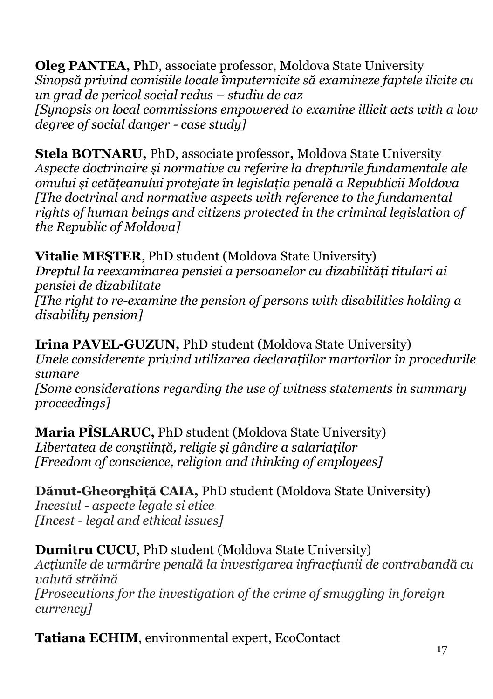**Oleg PANTEA,** PhD, associate professor, Moldova State University *Sinopsă privind comisiile locale împuternicite să examineze faptele ilicite cu un grad de pericol social redus – studiu de caz [Synopsis on local commissions empowered to examine illicit acts with a low degree of social danger - case study]*

**Stela BOTNARU,** PhD, associate professor**,** Moldova State University *Aspecte doctrinaire și normative cu referire la drepturile fundamentale ale omului și cetățeanului protejate în legislația penală a Republicii Moldova [The doctrinal and normative aspects with reference to the fundamental rights of human beings and citizens protected in the criminal legislation of the Republic of Moldova]*

**Vitalie MEȘTER**, PhD student (Moldova State University) *Dreptul la reexaminarea pensiei a persoanelor cu dizabilități titulari ai pensiei de dizabilitate [The right to re-examine the pension of persons with disabilities holding a disability pension]*

**Irina PAVEL-GUZUN,** PhD student (Moldova State University) *Unele considerente privind utilizarea declarațiilor martorilor în procedurile sumare*

*[Some considerations regarding the use of witness statements in summary proceedings]*

**Maria PÎSLARUC,** PhD student (Moldova State University) *Libertatea de conștiință, religie și gândire a salariaților [Freedom of conscience, religion and thinking of employees]*

**Dănut-Gheorghiță CAIA,** PhD student (Moldova State University) *Incestul - aspecte legale si etice [Incest - legal and ethical issues]*

**Dumitru CUCU**, PhD student (Moldova State University) *Acțiunile de urmărire penală la investigarea infracțiunii de contrabandă cu valută străină [Prosecutions for the investigation of the crime of smuggling in foreign currency]*

**Tatiana ECHIM**, environmental expert, EcoContact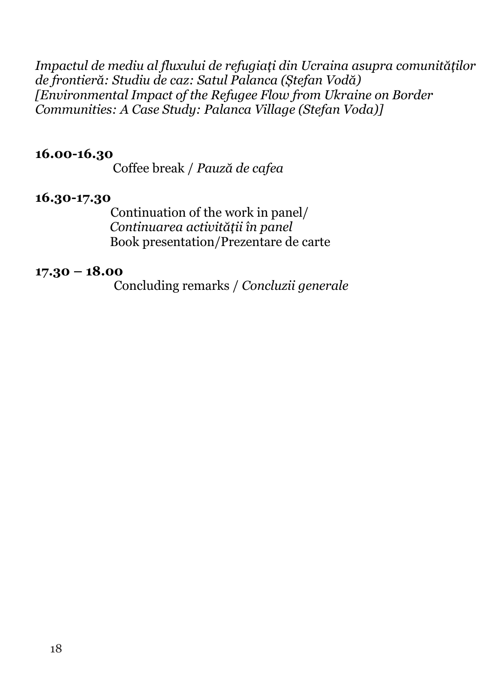*Impactul de mediu al fluxului de refugiați din Ucraina asupra comunităților de frontieră: Studiu de caz: Satul Palanca (Ștefan Vodă) [Environmental Impact of the Refugee Flow from Ukraine on Border Communities: A Case Study: Palanca Village (Stefan Voda)]*

#### **16.00-16.30**

Coffee break / *Pauză de cafea*

### **16.30-17.30**

Continuation of the work in panel/ *Continuarea activității în panel* Book presentation/Prezentare de carte

#### **17.30 – 18.00**

Concluding remarks / *Concluzii generale*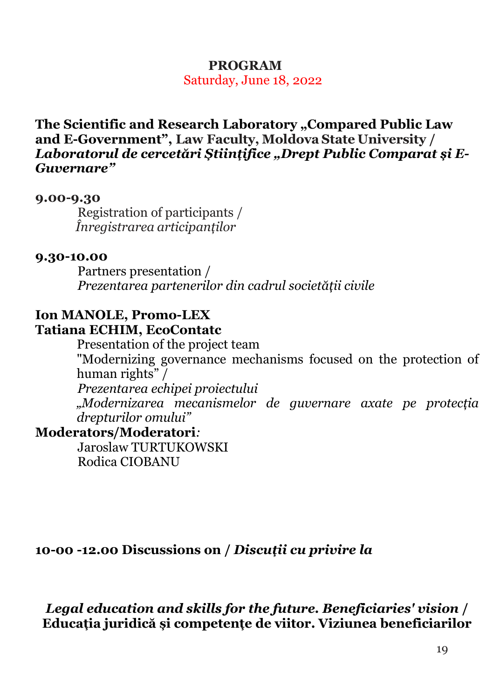## **PROGRAM**

Saturday, June 18, 2022

The Scientific and Research Laboratory "Compared Public Law **and E-Government", Law Faculty, Moldova State University /** *Laboratorul de cercetări Științifice "Drept Public Comparat și E-Guvernare"*

#### **9.00-9.30**

Registration of participants /  *Înregistrarea articipanților*

#### **9.30-10.00**

Partners presentation / *Prezentarea partenerilor din cadrul societății civile*

### **Ion MANOLE, Promo-LEX Tatiana ECHIM, EcoContatc**

Presentation of the project team "Modernizing governance mechanisms focused on the protection of human rights" / *Prezentarea echipei proiectului* 

*"Modernizarea mecanismelor de guvernare axate pe protecția drepturilor omului"*

## **Moderators/Moderatori***:*

Jaroslaw TURTUKOWSKI Rodica CIOBANU

### **10-00 -12.00 Discussions on /** *Discuții cu privire la*

*Legal education and skills for the future. Beneficiaries' vision* **/ Educația juridică și competențe de viitor. Viziunea beneficiarilor**